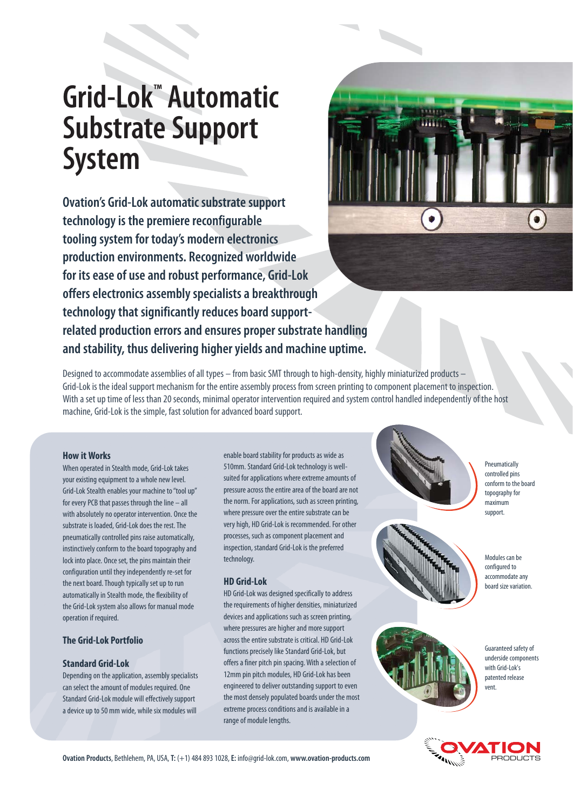# **Grid-Lok™ Automatic Substrate Support System**

**Ovation's Grid-Lok automatic substrate support technology is the premiere reconfigurable tooling system for today's modern electronics production environments. Recognized worldwide for its ease of use and robust performance, Grid-Lok offers electronics assembly specialists a breakthrough technology that significantly reduces board supportrelated production errors and ensures proper substrate handling and stability, thus delivering higher yields and machine uptime.** 



Designed to accommodate assemblies of all types – from basic SMT through to high-density, highly miniaturized products – Grid-Lok is the ideal support mechanism for the entire assembly process from screen printing to component placement to inspection. With a set up time of less than 20 seconds, minimal operator intervention required and system control handled independently of the host machine, Grid-Lok is the simple, fast solution for advanced board support.

#### **How it Works**

When operated in Stealth mode, Grid-Lok takes your existing equipment to a whole new level. Grid-Lok Stealth enables your machine to "tool up" for every PCB that passes through the line – all with absolutely no operator intervention. Once the substrate is loaded, Grid-Lok does the rest. The pneumatically controlled pins raise automatically, instinctively conform to the board topography and lock into place. Once set, the pins maintain their configuration until they independently re-set for the next board. Though typically set up to run automatically in Stealth mode, the flexibility of the Grid-Lok system also allows for manual mode operation if required.

# **The Grid-Lok Portfolio**

### **Standard Grid-Lok**

Depending on the application, assembly specialists can select the amount of modules required. One Standard Grid-Lok module will effectively support a device up to 50 mm wide, while six modules will

enable board stability for products as wide as 510mm. Standard Grid-Lok technology is wellsuited for applications where extreme amounts of pressure across the entire area of the board are not the norm. For applications, such as screen printing, where pressure over the entire substrate can be very high, HD Grid-Lok is recommended. For other processes, such as component placement and inspection, standard Grid-Lok is the preferred technology.

### **HD Grid-Lok**

HD Grid-Lok was designed specifically to address the requirements of higher densities, miniaturized devices and applications such as screen printing, where pressures are higher and more support across the entire substrate is critical. HD Grid-Lok functions precisely like Standard Grid-Lok, but offers a finer pitch pin spacing. With a selection of 12mm pin pitch modules, HD Grid-Lok has been engineered to deliver outstanding support to even the most densely populated boards under the most extreme process conditions and is available in a range of module lengths.





**Pneumatically** controlled pins conform to the board topography for maximum support.

Modules can be configured to accommodate any board size variation.



Guaranteed safety of underside components with Grid-Lok's patented release vent.